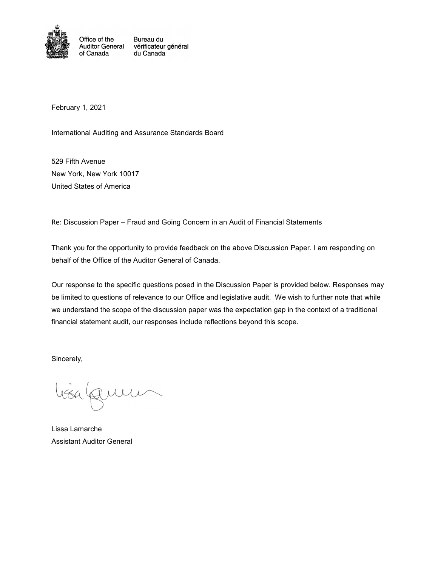

Office of the Bureau du Auditor General vérificateur général of Canada du Canada

February 1, 2021

International Auditing and Assurance Standards Board

529 Fifth Avenue New York, New York 10017 United States of America

Re: Discussion Paper – Fraud and Going Concern in an Audit of Financial Statements

Thank you for the opportunity to provide feedback on the above Discussion Paper. I am responding on behalf of the Office of the Auditor General of Canada.

Our response to the specific questions posed in the Discussion Paper is provided below. Responses may be limited to questions of relevance to our Office and legislative audit. We wish to further note that while we understand the scope of the discussion paper was the expectation gap in the context of a traditional financial statement audit, our responses include reflections beyond this scope.

Sincerely,

Lissa Lamarche Assistant Auditor General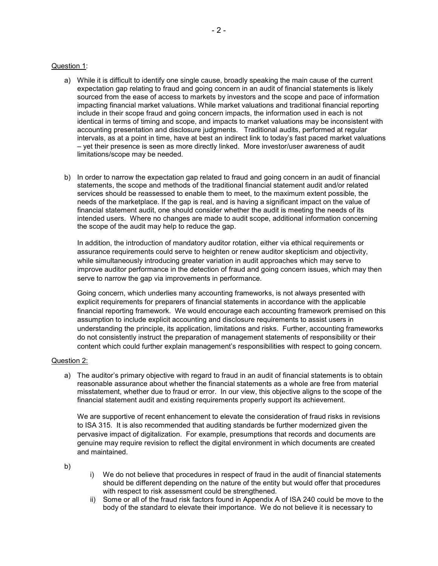## Question 1:

- a) While it is difficult to identify one single cause, broadly speaking the main cause of the current expectation gap relating to fraud and going concern in an audit of financial statements is likely sourced from the ease of access to markets by investors and the scope and pace of information impacting financial market valuations. While market valuations and traditional financial reporting include in their scope fraud and going concern impacts, the information used in each is not identical in terms of timing and scope, and impacts to market valuations may be inconsistent with accounting presentation and disclosure judgments. Traditional audits, performed at regular intervals, as at a point in time, have at best an indirect link to today's fast paced market valuations – yet their presence is seen as more directly linked. More investor/user awareness of audit limitations/scope may be needed.
- b) In order to narrow the expectation gap related to fraud and going concern in an audit of financial statements, the scope and methods of the traditional financial statement audit and/or related services should be reassessed to enable them to meet, to the maximum extent possible, the needs of the marketplace. If the gap is real, and is having a significant impact on the value of financial statement audit, one should consider whether the audit is meeting the needs of its intended users. Where no changes are made to audit scope, additional information concerning the scope of the audit may help to reduce the gap.

In addition, the introduction of mandatory auditor rotation, either via ethical requirements or assurance requirements could serve to heighten or renew auditor skepticism and objectivity, while simultaneously introducing greater variation in audit approaches which may serve to improve auditor performance in the detection of fraud and going concern issues, which may then serve to narrow the gap via improvements in performance.

Going concern, which underlies many accounting frameworks, is not always presented with explicit requirements for preparers of financial statements in accordance with the applicable financial reporting framework. We would encourage each accounting framework premised on this assumption to include explicit accounting and disclosure requirements to assist users in understanding the principle, its application, limitations and risks. Further, accounting frameworks do not consistently instruct the preparation of management statements of responsibility or their content which could further explain management's responsibilities with respect to going concern.

## Question 2:

a) The auditor's primary objective with regard to fraud in an audit of financial statements is to obtain reasonable assurance about whether the financial statements as a whole are free from material misstatement, whether due to fraud or error. In our view, this objective aligns to the scope of the financial statement audit and existing requirements properly support its achievement.

We are supportive of recent enhancement to elevate the consideration of fraud risks in revisions to ISA 315. It is also recommended that auditing standards be further modernized given the pervasive impact of digitalization. For example, presumptions that records and documents are genuine may require revision to reflect the digital environment in which documents are created and maintained.

b)

- i) We do not believe that procedures in respect of fraud in the audit of financial statements should be different depending on the nature of the entity but would offer that procedures with respect to risk assessment could be strengthened.
- ii) Some or all of the fraud risk factors found in Appendix A of ISA 240 could be move to the body of the standard to elevate their importance. We do not believe it is necessary to